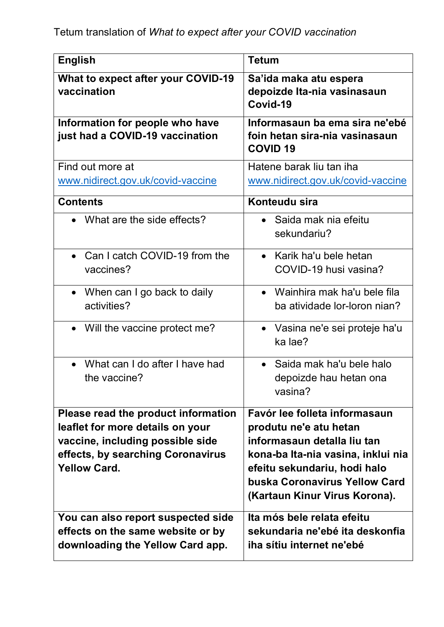| <b>English</b>                                                                                                                                                          | <b>Tetum</b>                                                                                                                                                                                                                   |
|-------------------------------------------------------------------------------------------------------------------------------------------------------------------------|--------------------------------------------------------------------------------------------------------------------------------------------------------------------------------------------------------------------------------|
| What to expect after your COVID-19<br>vaccination                                                                                                                       | Sa'ida maka atu espera<br>depoizde Ita-nia vasinasaun<br>Covid-19                                                                                                                                                              |
| Information for people who have<br>just had a COVID-19 vaccination                                                                                                      | Informasaun ba ema sira ne'ebé<br>foin hetan sira-nia vasinasaun<br><b>COVID 19</b>                                                                                                                                            |
| Find out more at<br>www.nidirect.gov.uk/covid-vaccine                                                                                                                   | Hatene barak liu tan iha<br>www.nidirect.gov.uk/covid-vaccine                                                                                                                                                                  |
| <b>Contents</b>                                                                                                                                                         | Konteudu sira                                                                                                                                                                                                                  |
| • What are the side effects?                                                                                                                                            | Saida mak nia efeitu<br>$\bullet$<br>sekundariu?                                                                                                                                                                               |
| • Can I catch COVID-19 from the<br>vaccines?                                                                                                                            | Karik ha'u bele hetan<br>$\bullet$<br>COVID-19 husi vasina?                                                                                                                                                                    |
| • When can I go back to daily<br>activities?                                                                                                                            | • Wainhira mak ha'u bele fila<br>ba atividade lor-loron nian?                                                                                                                                                                  |
| • Will the vaccine protect me?                                                                                                                                          | • Vasina ne'e sei proteje ha'u<br>ka lae?                                                                                                                                                                                      |
| What can I do after I have had<br>the vaccine?                                                                                                                          | • Saida mak ha'u bele halo<br>depoizde hau hetan ona<br>vasina?                                                                                                                                                                |
| Please read the product information<br>leaflet for more details on your<br>vaccine, including possible side<br>effects, by searching Coronavirus<br><b>Yellow Card.</b> | Favór lee folleta informasaun<br>produtu ne'e atu hetan<br>informasaun detalla liu tan<br>kona-ba Ita-nia vasina, inklui nia<br>efeitu sekundariu, hodi halo<br>buska Coronavirus Yellow Card<br>(Kartaun Kinur Virus Korona). |
| You can also report suspected side<br>effects on the same website or by<br>downloading the Yellow Card app.                                                             | Ita mós bele relata efeitu<br>sekundaria ne'ebé ita deskonfia<br>iha sítiu internet ne'ebé                                                                                                                                     |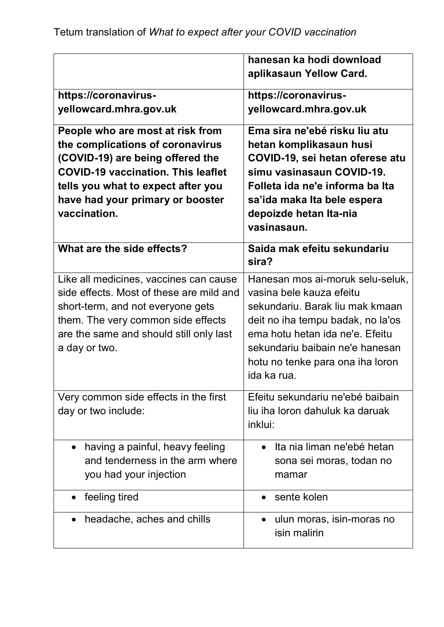|                                                  | hanesan ka hodi download                              |
|--------------------------------------------------|-------------------------------------------------------|
|                                                  | aplikasaun Yellow Card.                               |
| https://coronavirus-                             | https://coronavirus-                                  |
| yellowcard.mhra.gov.uk                           | yellowcard.mhra.gov.uk                                |
| People who are most at risk from                 | Ema sira ne'ebé risku liu atu                         |
| the complications of coronavirus                 | hetan komplikasaun husi                               |
| (COVID-19) are being offered the                 | COVID-19, sei hetan oferese atu                       |
| <b>COVID-19 vaccination. This leaflet</b>        | simu vasinasaun COVID-19.                             |
| tells you what to expect after you               | Folleta ida ne'e informa ba Ita                       |
| have had your primary or booster<br>vaccination. | sa'ida maka Ita bele espera<br>depoizde hetan Ita-nia |
|                                                  | vasinasaun.                                           |
|                                                  |                                                       |
| What are the side effects?                       | Saida mak efeitu sekundariu<br>sira?                  |
| Like all medicines, vaccines can cause           | Hanesan mos ai-moruk selu-seluk,                      |
| side effects. Most of these are mild and         | vasina bele kauza efeitu                              |
| short-term, and not everyone gets                | sekundariu. Barak liu mak kmaan                       |
| them. The very common side effects               | deit no iha tempu badak, no la'os                     |
| are the same and should still only last          | ema hotu hetan ida ne'e. Efeitu                       |
| a day or two.                                    | sekundariu baibain ne'e hanesan                       |
|                                                  | hotu no tenke para ona iha loron<br>ida ka rua.       |
|                                                  |                                                       |
| Very common side effects in the first            | Efeitu sekundariu ne'ebé baibain                      |
| day or two include:                              | liu iha loron dahuluk ka daruak                       |
|                                                  | inklui:                                               |
| having a painful, heavy feeling<br>$\bullet$     | • Ita nia liman ne'ebé hetan                          |
| and tenderness in the arm where                  | sona sei moras, todan no                              |
| you had your injection                           | mamar                                                 |
| feeling tired                                    | • sente kolen                                         |
| headache, aches and chills                       | ulun moras, isin-moras no<br>isin malirin             |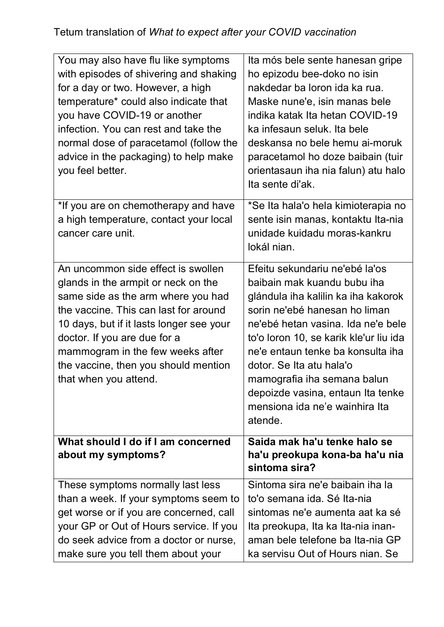## Tetum translation of *What to expect after your COVID vaccination*

| You may also have flu like symptoms<br>with episodes of shivering and shaking<br>for a day or two. However, a high<br>temperature* could also indicate that<br>you have COVID-19 or another<br>infection. You can rest and take the<br>normal dose of paracetamol (follow the<br>advice in the packaging) to help make<br>you feel better. | Ita mós bele sente hanesan gripe<br>ho epizodu bee-doko no isin<br>nakdedar ba loron ida ka rua.<br>Maske nune'e, isin manas bele<br>indika katak Ita hetan COVID-19<br>ka infesaun seluk. Ita bele<br>deskansa no bele hemu ai-moruk<br>paracetamol ho doze baibain (tuir<br>orientasaun iha nia falun) atu halo<br>Ita sente di'ak.                                                                   |
|--------------------------------------------------------------------------------------------------------------------------------------------------------------------------------------------------------------------------------------------------------------------------------------------------------------------------------------------|---------------------------------------------------------------------------------------------------------------------------------------------------------------------------------------------------------------------------------------------------------------------------------------------------------------------------------------------------------------------------------------------------------|
| *If you are on chemotherapy and have<br>a high temperature, contact your local<br>cancer care unit.                                                                                                                                                                                                                                        | *Se Ita hala'o hela kimioterapia no<br>sente isin manas, kontaktu Ita-nia<br>unidade kuidadu moras-kankru<br>lokál nian.                                                                                                                                                                                                                                                                                |
| An uncommon side effect is swollen<br>glands in the armpit or neck on the<br>same side as the arm where you had<br>the vaccine. This can last for around<br>10 days, but if it lasts longer see your<br>doctor. If you are due for a<br>mammogram in the few weeks after<br>the vaccine, then you should mention<br>that when you attend.  | Efeitu sekundariu ne'ebé la'os<br>baibain mak kuandu bubu iha<br>glándula iha kalilin ka iha kakorok<br>sorin ne'ebé hanesan ho liman<br>ne'ebé hetan vasina. Ida ne'e bele<br>to'o loron 10, se karik kle'ur liu ida<br>ne'e entaun tenke ba konsulta iha<br>dotor. Se Ita atu hala'o<br>mamografia iha semana balun<br>depoizde vasina, entaun Ita tenke<br>mensiona ida ne'e wainhira Ita<br>atende. |
| What should I do if I am concerned<br>about my symptoms?                                                                                                                                                                                                                                                                                   | Saida mak ha'u tenke halo se<br>ha'u preokupa kona-ba ha'u nia<br>sintoma sira?                                                                                                                                                                                                                                                                                                                         |
| These symptoms normally last less<br>than a week. If your symptoms seem to<br>get worse or if you are concerned, call<br>your GP or Out of Hours service. If you<br>do seek advice from a doctor or nurse,<br>make sure you tell them about your                                                                                           | Sintoma sira ne'e baibain iha la<br>to'o semana ida. Sé Ita-nia<br>sintomas ne'e aumenta aat ka sé<br>Ita preokupa, Ita ka Ita-nia inan-<br>aman bele telefone ba Ita-nia GP<br>ka servisu Out of Hours nian. Se                                                                                                                                                                                        |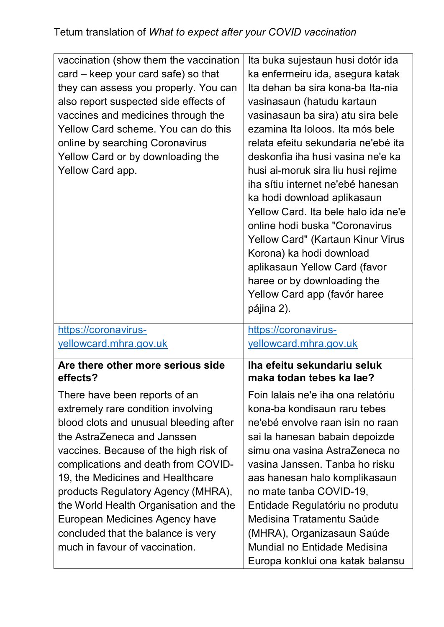| vaccination (show them the vaccination        | Ita buka sujestaun husi dotór ida   |
|-----------------------------------------------|-------------------------------------|
| card – keep your card safe) so that           | ka enfermeiru ida, asegura katak    |
| they can assess you properly. You can         | Ita dehan ba sira kona-ba Ita-nia   |
| also report suspected side effects of         | vasinasaun (hatudu kartaun          |
| vaccines and medicines through the            | vasinasaun ba sira) atu sira bele   |
| Yellow Card scheme. You can do this           | ezamina Ita loloos. Ita mós bele    |
| online by searching Coronavirus               | relata efeitu sekundaria ne'ebé ita |
| Yellow Card or by downloading the             | deskonfia iha husi vasina ne'e ka   |
| Yellow Card app.                              | husi ai-moruk sira liu husi rejime  |
|                                               | iha sítiu internet ne'ebé hanesan   |
|                                               | ka hodi download aplikasaun         |
|                                               | Yellow Card. Ita bele halo ida ne'e |
|                                               | online hodi buska "Coronavirus      |
|                                               | Yellow Card" (Kartaun Kinur Virus   |
|                                               | Korona) ka hodi download            |
|                                               | aplikasaun Yellow Card (favor       |
|                                               | haree or by downloading the         |
|                                               | Yellow Card app (favór haree        |
|                                               | pájina 2).                          |
|                                               |                                     |
| https://coronavirus-                          | https://coronavirus-                |
| yellowcard.mhra.gov.uk                        | yellowcard.mhra.gov.uk              |
|                                               | Iha efeitu sekundariu seluk         |
| Are there other more serious side<br>effects? | maka todan tebes ka lae?            |
| There have been reports of an                 | Foin lalais ne'e iha ona relatóriu  |
| extremely rare condition involving            | kona-ba kondisaun raru tebes        |
| blood clots and unusual bleeding after        | ne'ebé envolve raan isin no raan    |
| the AstraZeneca and Janssen                   | sai la hanesan babain depoizde      |
| vaccines. Because of the high risk of         | simu ona vasina AstraZeneca no      |
| complications and death from COVID-           | vasina Janssen. Tanba ho risku      |
| 19, the Medicines and Healthcare              | aas hanesan halo komplikasaun       |
| products Regulatory Agency (MHRA),            | no mate tanba COVID-19,             |
| the World Health Organisation and the         | Entidade Regulatóriu no produtu     |
| European Medicines Agency have                | Medisina Tratamentu Saúde           |
| concluded that the balance is very            | (MHRA), Organizasaun Saúde          |
| much in favour of vaccination.                | Mundial no Entidade Medisina        |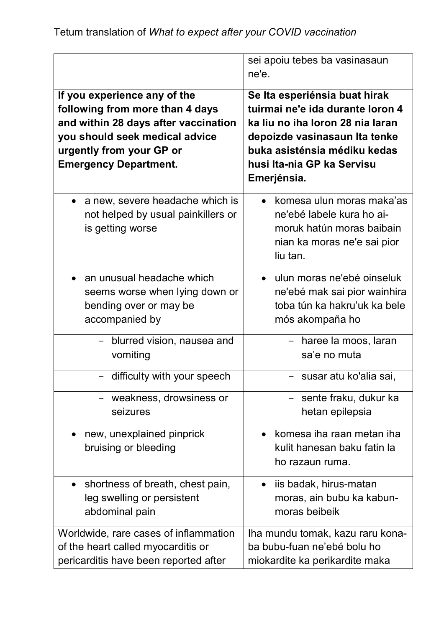|                                                                                                                                                                                                       | sei apoiu tebes ba vasinasaun<br>ne'e.                                                                                                                                                                              |
|-------------------------------------------------------------------------------------------------------------------------------------------------------------------------------------------------------|---------------------------------------------------------------------------------------------------------------------------------------------------------------------------------------------------------------------|
| If you experience any of the<br>following from more than 4 days<br>and within 28 days after vaccination<br>you should seek medical advice<br>urgently from your GP or<br><b>Emergency Department.</b> | Se Ita esperiénsia buat hirak<br>tuirmai ne'e ida durante loron 4<br>ka liu no iha loron 28 nia laran<br>depoizde vasinasaun Ita tenke<br>buka asisténsia médiku kedas<br>husi Ita-nia GP ka Servisu<br>Emerjénsia. |
| a new, severe headache which is<br>$\bullet$<br>not helped by usual painkillers or<br>is getting worse                                                                                                | • komesa ulun moras maka'as<br>ne'ebé labele kura ho ai-<br>moruk hatún moras baibain<br>nian ka moras ne'e sai pior<br>liu tan.                                                                                    |
| an unusual headache which                                                                                                                                                                             | · ulun moras ne'ebé oinseluk                                                                                                                                                                                        |
| seems worse when lying down or                                                                                                                                                                        | ne'ebé mak sai pior wainhira                                                                                                                                                                                        |
| bending over or may be                                                                                                                                                                                | toba tún ka hakru'uk ka bele                                                                                                                                                                                        |
| accompanied by                                                                                                                                                                                        | mós akompaña ho                                                                                                                                                                                                     |
| - blurred vision, nausea and                                                                                                                                                                          | - haree la moos, laran                                                                                                                                                                                              |
| vomiting                                                                                                                                                                                              | sa'e no muta                                                                                                                                                                                                        |
| - difficulty with your speech                                                                                                                                                                         | - susar atu ko'alia sai,                                                                                                                                                                                            |
| weakness, drowsiness or                                                                                                                                                                               | - sente fraku, dukur ka                                                                                                                                                                                             |
| seizures                                                                                                                                                                                              | hetan epilepsia                                                                                                                                                                                                     |
| new, unexplained pinprick<br>$\bullet$<br>bruising or bleeding                                                                                                                                        | komesa iha raan metan iha<br>$\bullet$<br>kulit hanesan baku fatin la<br>ho razaun ruma.                                                                                                                            |
| shortness of breath, chest pain,                                                                                                                                                                      | • iis badak, hirus-matan                                                                                                                                                                                            |
| leg swelling or persistent                                                                                                                                                                            | moras, ain bubu ka kabun-                                                                                                                                                                                           |
| abdominal pain                                                                                                                                                                                        | moras beibeik                                                                                                                                                                                                       |
| Worldwide, rare cases of inflammation                                                                                                                                                                 | Iha mundu tomak, kazu raru kona-                                                                                                                                                                                    |
| of the heart called myocarditis or                                                                                                                                                                    | ba bubu-fuan ne'ebé bolu ho                                                                                                                                                                                         |
| pericarditis have been reported after                                                                                                                                                                 | miokardite ka perikardite maka                                                                                                                                                                                      |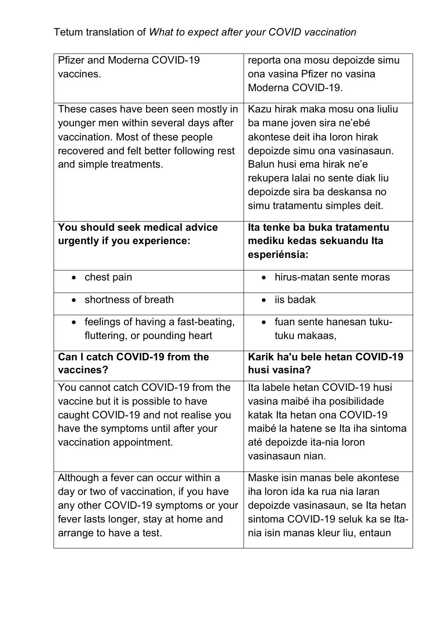| Pfizer and Moderna COVID-19<br>vaccines.                                                                                                                                                 | reporta ona mosu depoizde simu<br>ona vasina Pfizer no vasina<br>Moderna COVID-19.                                                                                                                                                                               |
|------------------------------------------------------------------------------------------------------------------------------------------------------------------------------------------|------------------------------------------------------------------------------------------------------------------------------------------------------------------------------------------------------------------------------------------------------------------|
| These cases have been seen mostly in<br>younger men within several days after<br>vaccination. Most of these people<br>recovered and felt better following rest<br>and simple treatments. | Kazu hirak maka mosu ona liuliu<br>ba mane joven sira ne'ebé<br>akontese deit iha loron hirak<br>depoizde simu ona vasinasaun.<br>Balun husi ema hirak ne'e<br>rekupera lalai no sente diak liu<br>depoizde sira ba deskansa no<br>simu tratamentu simples deit. |
| You should seek medical advice<br>urgently if you experience:                                                                                                                            | Ita tenke ba buka tratamentu<br>mediku kedas sekuandu Ita<br>esperiénsia:                                                                                                                                                                                        |
| chest pain                                                                                                                                                                               | hirus-matan sente moras                                                                                                                                                                                                                                          |
| shortness of breath                                                                                                                                                                      | iis badak                                                                                                                                                                                                                                                        |
| feelings of having a fast-beating,<br>$\bullet$<br>fluttering, or pounding heart                                                                                                         | • fuan sente hanesan tuku-<br>tuku makaas,                                                                                                                                                                                                                       |
| Can I catch COVID-19 from the<br>vaccines?                                                                                                                                               | Karik ha'u bele hetan COVID-19<br>husi vasina?                                                                                                                                                                                                                   |
| You cannot catch COVID-19 from the<br>vaccine but it is possible to have<br>caught COVID-19 and not realise you<br>have the symptoms until after your<br>vaccination appointment.        | Ita labele hetan COVID-19 husi<br>vasina maibé iha posibilidade<br>katak Ita hetan ona COVID-19<br>maibé la hatene se Ita iha sintoma<br>até depoizde ita-nia loron<br>vasinasaun nian.                                                                          |
| Although a fever can occur within a<br>day or two of vaccination, if you have<br>any other COVID-19 symptoms or your<br>fever lasts longer, stay at home and<br>arrange to have a test.  | Maske isin manas bele akontese<br>iha loron ida ka rua nia laran<br>depoizde vasinasaun, se Ita hetan<br>sintoma COVID-19 seluk ka se Ita-<br>nia isin manas kleur liu, entaun                                                                                   |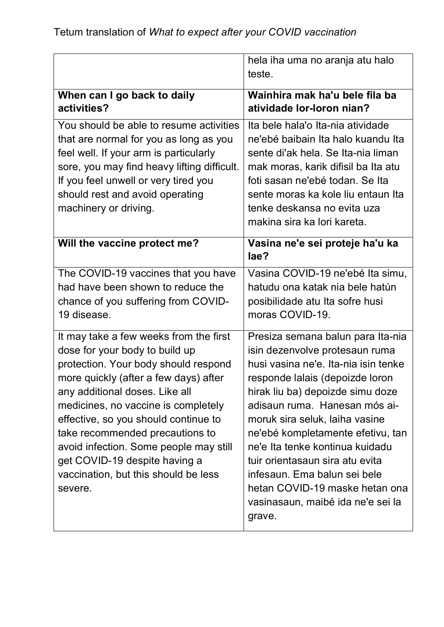|                                                                                                                                                                                                                                                                                                                                                                                                                                             | hela iha uma no aranja atu halo<br>teste.                                                                                                                                                                                                                                                                                                                                                                                                                                         |
|---------------------------------------------------------------------------------------------------------------------------------------------------------------------------------------------------------------------------------------------------------------------------------------------------------------------------------------------------------------------------------------------------------------------------------------------|-----------------------------------------------------------------------------------------------------------------------------------------------------------------------------------------------------------------------------------------------------------------------------------------------------------------------------------------------------------------------------------------------------------------------------------------------------------------------------------|
| When can I go back to daily<br>activities?                                                                                                                                                                                                                                                                                                                                                                                                  | Wainhira mak ha'u bele fila ba<br>atividade lor-loron nian?                                                                                                                                                                                                                                                                                                                                                                                                                       |
| You should be able to resume activities<br>that are normal for you as long as you<br>feel well. If your arm is particularly<br>sore, you may find heavy lifting difficult.<br>If you feel unwell or very tired you<br>should rest and avoid operating<br>machinery or driving.                                                                                                                                                              | Ita bele hala'o Ita-nia atividade<br>ne'ebé baibain Ita halo kuandu Ita<br>sente di'ak hela. Se Ita-nia liman<br>mak moras, karik difisil ba Ita atu<br>foti sasan ne'ebé todan. Se Ita<br>sente moras ka kole liu entaun Ita<br>tenke deskansa no evita uza<br>makina sira ka lori kareta.                                                                                                                                                                                       |
| Will the vaccine protect me?                                                                                                                                                                                                                                                                                                                                                                                                                | Vasina ne'e sei proteje ha'u ka<br>lae?                                                                                                                                                                                                                                                                                                                                                                                                                                           |
| The COVID-19 vaccines that you have<br>had have been shown to reduce the<br>chance of you suffering from COVID-<br>19 disease.                                                                                                                                                                                                                                                                                                              | Vasina COVID-19 ne'ebé Ita simu,<br>hatudu ona katak nia bele hatún<br>posibilidade atu Ita sofre husi<br>moras COVID-19.                                                                                                                                                                                                                                                                                                                                                         |
| It may take a few weeks from the first<br>dose for your body to build up<br>protection. Your body should respond<br>more quickly (after a few days) after<br>any additional doses. Like all<br>medicines, no vaccine is completely<br>effective, so you should continue to<br>take recommended precautions to<br>avoid infection. Some people may still<br>get COVID-19 despite having a<br>vaccination, but this should be less<br>severe. | Presiza semana balun para Ita-nia<br>isin dezenvolve protesaun ruma<br>husi vasina ne'e. Ita-nia isin tenke<br>responde lalais (depoizde loron<br>hirak liu ba) depoizde simu doze<br>adisaun ruma. Hanesan mós ai-<br>moruk sira seluk, laiha vasine<br>ne'ebé kompletamente efetivu, tan<br>ne'e Ita tenke kontinua kuidadu<br>tuir orientasaun sira atu evita<br>infesaun. Ema balun sei bele<br>hetan COVID-19 maske hetan ona<br>vasinasaun, maibé ida ne'e sei la<br>grave. |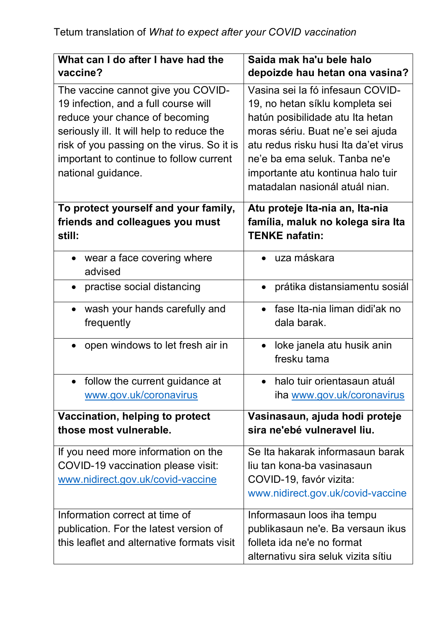| What can I do after I have had the<br>vaccine?                                    | Saida mak ha'u bele halo<br>depoizde hau hetan ona vasina?                                    |
|-----------------------------------------------------------------------------------|-----------------------------------------------------------------------------------------------|
| The vaccine cannot give you COVID-                                                | Vasina sei la fó infesaun COVID-                                                              |
| 19 infection, and a full course will                                              | 19, no hetan síklu kompleta sei                                                               |
| reduce your chance of becoming                                                    | hatún posibilidade atu Ita hetan                                                              |
| seriously ill. It will help to reduce the                                         | moras sériu. Buat ne'e sei ajuda                                                              |
| risk of you passing on the virus. So it is                                        | atu redus risku husi Ita da'et virus                                                          |
| important to continue to follow current                                           | ne'e ba ema seluk. Tanba ne'e                                                                 |
| national guidance.                                                                | importante atu kontinua halo tuir                                                             |
|                                                                                   | matadalan nasionál atuál nian.                                                                |
| To protect yourself and your family,<br>friends and colleagues you must<br>still: | Atu proteje Ita-nia an, Ita-nia<br>família, maluk no kolega sira Ita<br><b>TENKE nafatin:</b> |
| wear a face covering where<br>$\bullet$<br>advised                                | uza máskara                                                                                   |
| practise social distancing<br>$\bullet$                                           | prátika distansiamentu sosiál<br>$\bullet$                                                    |
| wash your hands carefully and<br>frequently                                       | fase Ita-nia liman didi'ak no<br>dala barak.                                                  |
| open windows to let fresh air in                                                  | loke janela atu husik anin<br>$\bullet$                                                       |
|                                                                                   | fresku tama                                                                                   |
| follow the current guidance at                                                    | halo tuir orientasaun atuál                                                                   |
| www.gov.uk/coronavirus                                                            | iha www.gov.uk/coronavirus                                                                    |
| Vaccination, helping to protect<br>those most vulnerable.                         | Vasinasaun, ajuda hodi proteje<br>sira ne'ebé vulneravel liu.                                 |
| If you need more information on the                                               | Se Ita hakarak informasaun barak                                                              |
| COVID-19 vaccination please visit:                                                | liu tan kona-ba vasinasaun                                                                    |
| www.nidirect.gov.uk/covid-vaccine                                                 | COVID-19, favór vizita:                                                                       |
|                                                                                   | www.nidirect.gov.uk/covid-vaccine                                                             |
| Information correct at time of                                                    | Informasaun loos iha tempu                                                                    |
| publication. For the latest version of                                            | publikasaun ne'e. Ba versaun ikus                                                             |
| this leaflet and alternative formats visit                                        | folleta ida ne'e no format                                                                    |
|                                                                                   | alternativu sira seluk vizita sítiu                                                           |